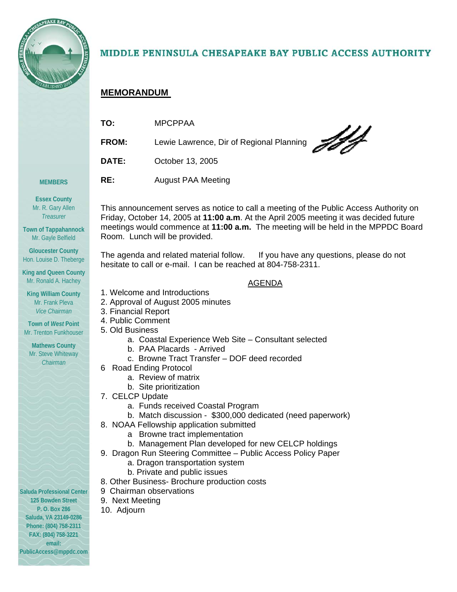

# MIDDLE PENINSULA CHESAPEAKE BAY PUBLIC ACCESS AUTHORITY

# **MEMORANDUM**

| TO:          | <b>MPCPPAA</b>                           |
|--------------|------------------------------------------|
| <b>FROM:</b> | Lewie Lawrence, Dir of Regional Planning |
| <b>DATE:</b> | October 13, 2005                         |
| RE:          | <b>August PAA Meeting</b>                |

**Essex County**  Mr. R. Gary Allen *Treasurer* 

**MEMBERS** 

**Town of Tappahannock**  Mr. Gayle Belfield

**Gloucester County**  Hon. Louise D. Theberge

**King and Queen County**  Mr. Ronald A. Hachey

**King William County**  Mr. Frank Pleva *Vice Chairman* 

**Town of** *West* **Point**  Mr. Trenton Funkhouser

**Mathews County**  Mr. Steve Whiteway *Chairman* 

**Saluda Professional Center 125 Bowden Street P. O. Box 286 Saluda, VA 23149-0286 Phone: (804) 758-2311 FAX: (804) 758-3221 email: PublicAccess@mppdc.com** 

This announcement serves as notice to call a meeting of the Public Access Authority on Friday, October 14, 2005 at **11:00 a.m**. At the April 2005 meeting it was decided future meetings would commence at **11:00 a.m.** The meeting will be held in the MPPDC Board Room. Lunch will be provided.

The agenda and related material follow. If you have any questions, please do not hesitate to call or e-mail. I can be reached at 804-758-2311.

AGENDA

- 1. Welcome and Introductions
- 2. Approval of August 2005 minutes
- 3. Financial Report
- 4. Public Comment
- 5. Old Business
	- a. Coastal Experience Web Site Consultant selected
	- b. PAA Placards Arrived
	- c. Browne Tract Transfer DOF deed recorded
- 6 Road Ending Protocol
	- a. Review of matrix
	- b. Site prioritization
- 7. CELCP Update
	- a. Funds received Coastal Program
	- b. Match discussion \$300,000 dedicated (need paperwork)
- 8. NOAA Fellowship application submitted
	- a Browne tract implementation
	- b. Management Plan developed for new CELCP holdings
- 9. Dragon Run Steering Committee Public Access Policy Paper
	- a. Dragon transportation system
	- b. Private and public issues
- 8. Other Business- Brochure production costs
- 9 Chairman observations
- 9. Next Meeting
- 10. Adjourn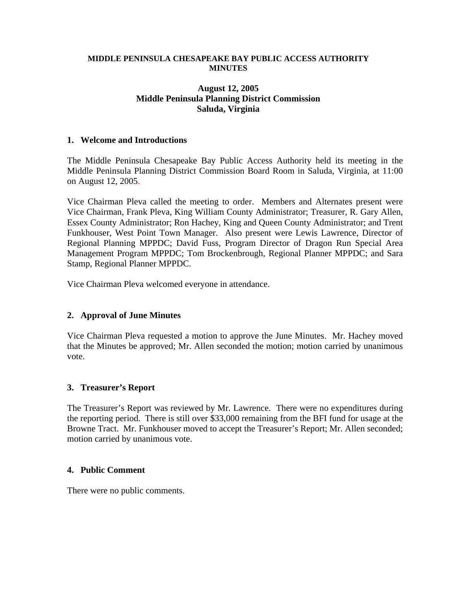#### **MIDDLE PENINSULA CHESAPEAKE BAY PUBLIC ACCESS AUTHORITY MINUTES**

### **August 12, 2005 Middle Peninsula Planning District Commission Saluda, Virginia**

### **1. Welcome and Introductions**

The Middle Peninsula Chesapeake Bay Public Access Authority held its meeting in the Middle Peninsula Planning District Commission Board Room in Saluda, Virginia, at 11:00 on August 12, 2005.

Vice Chairman Pleva called the meeting to order. Members and Alternates present were Vice Chairman, Frank Pleva, King William County Administrator; Treasurer, R. Gary Allen, Essex County Administrator; Ron Hachey, King and Queen County Administrator; and Trent Funkhouser, West Point Town Manager. Also present were Lewis Lawrence, Director of Regional Planning MPPDC; David Fuss, Program Director of Dragon Run Special Area Management Program MPPDC; Tom Brockenbrough, Regional Planner MPPDC; and Sara Stamp, Regional Planner MPPDC.

Vice Chairman Pleva welcomed everyone in attendance.

# **2. Approval of June Minutes**

Vice Chairman Pleva requested a motion to approve the June Minutes. Mr. Hachey moved that the Minutes be approved; Mr. Allen seconded the motion; motion carried by unanimous vote.

# **3. Treasurer's Report**

The Treasurer's Report was reviewed by Mr. Lawrence. There were no expenditures during the reporting period. There is still over \$33,000 remaining from the BFI fund for usage at the Browne Tract. Mr. Funkhouser moved to accept the Treasurer's Report; Mr. Allen seconded; motion carried by unanimous vote.

### **4. Public Comment**

There were no public comments.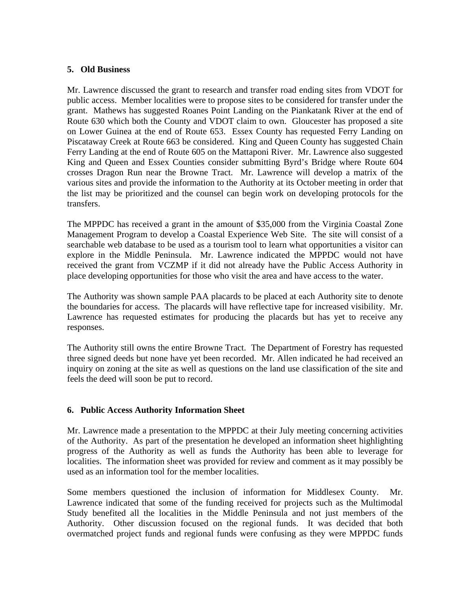### **5. Old Business**

Mr. Lawrence discussed the grant to research and transfer road ending sites from VDOT for public access. Member localities were to propose sites to be considered for transfer under the grant. Mathews has suggested Roanes Point Landing on the Piankatank River at the end of Route 630 which both the County and VDOT claim to own. Gloucester has proposed a site on Lower Guinea at the end of Route 653. Essex County has requested Ferry Landing on Piscataway Creek at Route 663 be considered. King and Queen County has suggested Chain Ferry Landing at the end of Route 605 on the Mattaponi River. Mr. Lawrence also suggested King and Queen and Essex Counties consider submitting Byrd's Bridge where Route 604 crosses Dragon Run near the Browne Tract. Mr. Lawrence will develop a matrix of the various sites and provide the information to the Authority at its October meeting in order that the list may be prioritized and the counsel can begin work on developing protocols for the transfers.

The MPPDC has received a grant in the amount of \$35,000 from the Virginia Coastal Zone Management Program to develop a Coastal Experience Web Site. The site will consist of a searchable web database to be used as a tourism tool to learn what opportunities a visitor can explore in the Middle Peninsula. Mr. Lawrence indicated the MPPDC would not have received the grant from VCZMP if it did not already have the Public Access Authority in place developing opportunities for those who visit the area and have access to the water.

The Authority was shown sample PAA placards to be placed at each Authority site to denote the boundaries for access. The placards will have reflective tape for increased visibility. Mr. Lawrence has requested estimates for producing the placards but has yet to receive any responses.

The Authority still owns the entire Browne Tract. The Department of Forestry has requested three signed deeds but none have yet been recorded. Mr. Allen indicated he had received an inquiry on zoning at the site as well as questions on the land use classification of the site and feels the deed will soon be put to record.

# **6. Public Access Authority Information Sheet**

Mr. Lawrence made a presentation to the MPPDC at their July meeting concerning activities of the Authority. As part of the presentation he developed an information sheet highlighting progress of the Authority as well as funds the Authority has been able to leverage for localities. The information sheet was provided for review and comment as it may possibly be used as an information tool for the member localities.

Some members questioned the inclusion of information for Middlesex County. Mr. Lawrence indicated that some of the funding received for projects such as the Multimodal Study benefited all the localities in the Middle Peninsula and not just members of the Authority. Other discussion focused on the regional funds. It was decided that both overmatched project funds and regional funds were confusing as they were MPPDC funds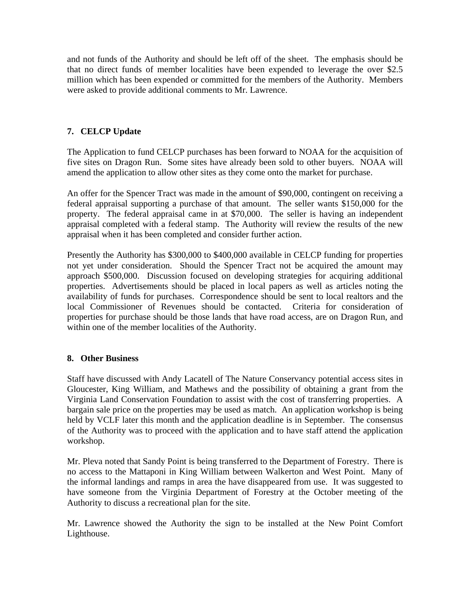and not funds of the Authority and should be left off of the sheet. The emphasis should be that no direct funds of member localities have been expended to leverage the over \$2.5 million which has been expended or committed for the members of the Authority. Members were asked to provide additional comments to Mr. Lawrence.

# **7. CELCP Update**

The Application to fund CELCP purchases has been forward to NOAA for the acquisition of five sites on Dragon Run. Some sites have already been sold to other buyers. NOAA will amend the application to allow other sites as they come onto the market for purchase.

An offer for the Spencer Tract was made in the amount of \$90,000, contingent on receiving a federal appraisal supporting a purchase of that amount. The seller wants \$150,000 for the property. The federal appraisal came in at \$70,000. The seller is having an independent appraisal completed with a federal stamp. The Authority will review the results of the new appraisal when it has been completed and consider further action.

Presently the Authority has \$300,000 to \$400,000 available in CELCP funding for properties not yet under consideration. Should the Spencer Tract not be acquired the amount may approach \$500,000. Discussion focused on developing strategies for acquiring additional properties. Advertisements should be placed in local papers as well as articles noting the availability of funds for purchases. Correspondence should be sent to local realtors and the local Commissioner of Revenues should be contacted. Criteria for consideration of properties for purchase should be those lands that have road access, are on Dragon Run, and within one of the member localities of the Authority.

# **8. Other Business**

Staff have discussed with Andy Lacatell of The Nature Conservancy potential access sites in Gloucester, King William, and Mathews and the possibility of obtaining a grant from the Virginia Land Conservation Foundation to assist with the cost of transferring properties. A bargain sale price on the properties may be used as match. An application workshop is being held by VCLF later this month and the application deadline is in September. The consensus of the Authority was to proceed with the application and to have staff attend the application workshop.

Mr. Pleva noted that Sandy Point is being transferred to the Department of Forestry. There is no access to the Mattaponi in King William between Walkerton and West Point. Many of the informal landings and ramps in area the have disappeared from use. It was suggested to have someone from the Virginia Department of Forestry at the October meeting of the Authority to discuss a recreational plan for the site.

Mr. Lawrence showed the Authority the sign to be installed at the New Point Comfort Lighthouse.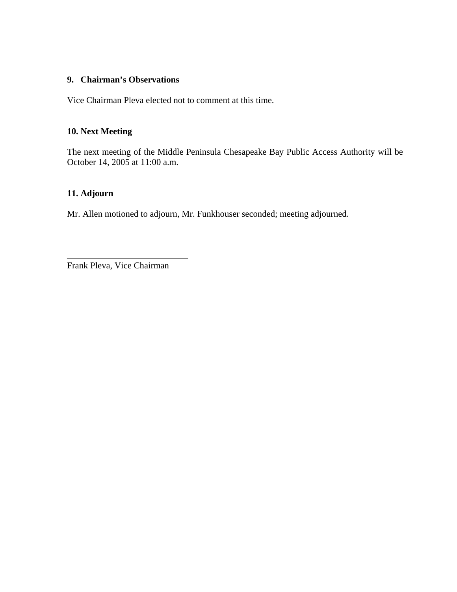# **9. Chairman's Observations**

Vice Chairman Pleva elected not to comment at this time.

# **10. Next Meeting**

The next meeting of the Middle Peninsula Chesapeake Bay Public Access Authority will be October 14, 2005 at 11:00 a.m.

# **11. Adjourn**

Mr. Allen motioned to adjourn, Mr. Funkhouser seconded; meeting adjourned.

Frank Pleva, Vice Chairman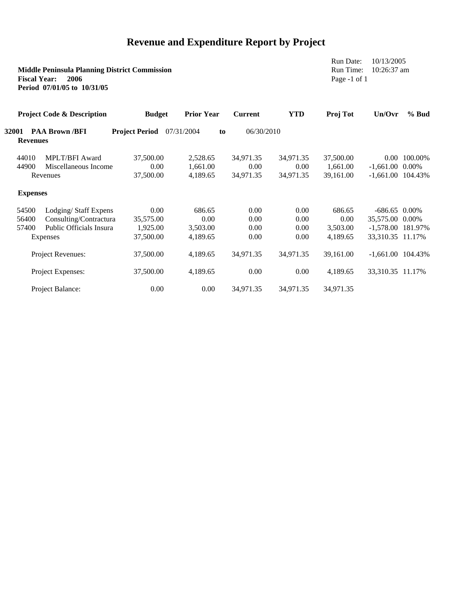# **Revenue and Expenditure Report by Project**

| <b>Middle Peninsula Planning District Commission</b><br>2006<br><b>Fiscal Year:</b><br>Period 07/01/05 to 10/31/05 |                                 |                                       |                                           |                   |                |            | Run Date:<br>Run Time:<br>Page $-1$ of 1 |                     | 10/13/2005<br>10:26:37 am |  |
|--------------------------------------------------------------------------------------------------------------------|---------------------------------|---------------------------------------|-------------------------------------------|-------------------|----------------|------------|------------------------------------------|---------------------|---------------------------|--|
|                                                                                                                    |                                 | <b>Project Code &amp; Description</b> | <b>Budget</b>                             | <b>Prior Year</b> | <b>Current</b> | <b>YTD</b> | Proj Tot                                 | Un/Ovr              | $%$ Bud                   |  |
|                                                                                                                    | <b>32001</b><br><b>Revenues</b> | <b>PAA Brown /BFI</b>                 | <b>Project Period</b><br>07/31/2004<br>to |                   | 06/30/2010     |            |                                          |                     |                           |  |
|                                                                                                                    | 44010                           | <b>MPLT/BFI Award</b>                 | 37,500.00                                 | 2,528.65          | 34,971.35      | 34,971.35  | 37,500.00                                |                     | 0.00 100.00%              |  |
|                                                                                                                    | 44900                           | Miscellaneous Income                  | 0.00                                      | 1,661.00          | 0.00           | 0.00       | 1,661.00                                 | $-1,661.00$         | 0.00%                     |  |
|                                                                                                                    |                                 | Revenues                              | 37,500.00                                 | 4,189.65          | 34,971.35      | 34,971.35  | 39,161.00                                | $-1,661.00$ 104.43% |                           |  |
|                                                                                                                    | <b>Expenses</b>                 |                                       |                                           |                   |                |            |                                          |                     |                           |  |
|                                                                                                                    | 54500                           | Lodging/Staff Expens                  | 0.00                                      | 686.65            | 0.00           | 0.00       | 686.65                                   | $-686.65$ 0.00%     |                           |  |
|                                                                                                                    | 56400                           | Consulting/Contractura                | 35,575.00                                 | 0.00              | 0.00           | 0.00       | 0.00                                     | 35,575.00 0.00%     |                           |  |
|                                                                                                                    | 57400                           | Public Officials Insura               | 1,925.00                                  | 3,503.00          | 0.00           | 0.00       | 3,503.00                                 | -1,578.00 181.97%   |                           |  |
| Expenses<br>Project Revenues:<br>Project Expenses:                                                                 |                                 |                                       | 37,500.00                                 | 4,189.65          | 0.00           | 0.00       | 4,189.65                                 | 33,310.35 11.17%    |                           |  |
|                                                                                                                    |                                 |                                       | 37,500.00                                 | 4,189.65          | 34,971.35      | 34,971.35  | 39,161.00                                | $-1,661.00$ 104.43% |                           |  |
|                                                                                                                    |                                 |                                       | 37,500.00                                 | 4,189.65          | 0.00           | 0.00       | 4,189.65                                 | 33,310.35 11.17%    |                           |  |
|                                                                                                                    |                                 | Project Balance:                      | 0.00                                      | 0.00              | 34,971.35      | 34,971.35  | 34,971.35                                |                     |                           |  |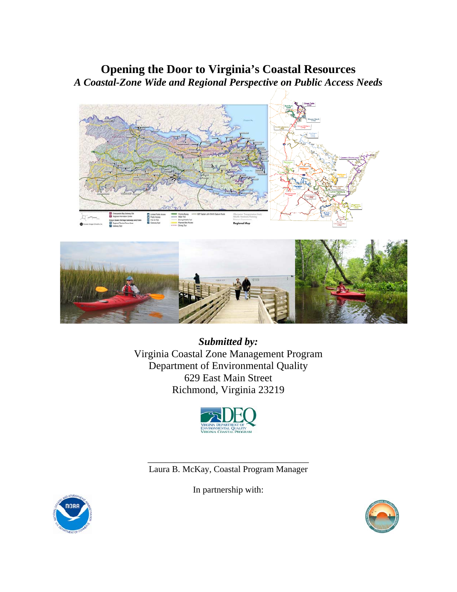# **Opening the Door to Virginia's Coastal Resources**  *A Coastal-Zone Wide and Regional Perspective on Public Access Needs*





*Submitted by:*  Virginia Coastal Zone Management Program Department of Environmental Quality 629 East Main Street Richmond, Virginia 23219



\_\_\_\_\_\_\_\_\_\_\_\_\_\_\_\_\_\_\_\_\_\_\_\_\_\_\_\_\_\_\_\_\_\_\_\_ Laura B. McKay, Coastal Program Manager

In partnership with:



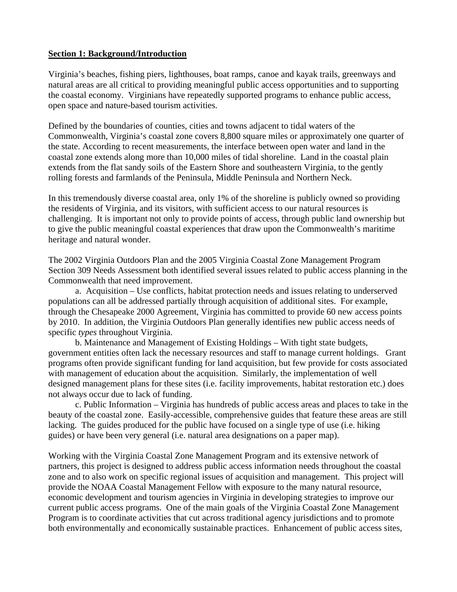## **Section 1: Background/Introduction**

Virginia's beaches, fishing piers, lighthouses, boat ramps, canoe and kayak trails, greenways and natural areas are all critical to providing meaningful public access opportunities and to supporting the coastal economy. Virginians have repeatedly supported programs to enhance public access, open space and nature-based tourism activities.

Defined by the boundaries of counties, cities and towns adjacent to tidal waters of the Commonwealth, Virginia's coastal zone covers 8,800 square miles or approximately one quarter of the state. According to recent measurements, the interface between open water and land in the coastal zone extends along more than 10,000 miles of tidal shoreline. Land in the coastal plain extends from the flat sandy soils of the Eastern Shore and southeastern Virginia, to the gently rolling forests and farmlands of the Peninsula, Middle Peninsula and Northern Neck.

In this tremendously diverse coastal area, only 1% of the shoreline is publicly owned so providing the residents of Virginia, and its visitors, with sufficient access to our natural resources is challenging. It is important not only to provide points of access, through public land ownership but to give the public meaningful coastal experiences that draw upon the Commonwealth's maritime heritage and natural wonder.

The 2002 Virginia Outdoors Plan and the 2005 Virginia Coastal Zone Management Program Section 309 Needs Assessment both identified several issues related to public access planning in the Commonwealth that need improvement.

 a. Acquisition – Use conflicts, habitat protection needs and issues relating to underserved populations can all be addressed partially through acquisition of additional sites. For example, through the Chesapeake 2000 Agreement, Virginia has committed to provide 60 new access points by 2010. In addition, the Virginia Outdoors Plan generally identifies new public access needs of specific *types* throughout Virginia.

 b. Maintenance and Management of Existing Holdings – With tight state budgets, government entities often lack the necessary resources and staff to manage current holdings. Grant programs often provide significant funding for land acquisition, but few provide for costs associated with management of education about the acquisition. Similarly, the implementation of well designed management plans for these sites (i.e. facility improvements, habitat restoration etc.) does not always occur due to lack of funding.

c. Public Information – Virginia has hundreds of public access areas and places to take in the beauty of the coastal zone. Easily-accessible, comprehensive guides that feature these areas are still lacking. The guides produced for the public have focused on a single type of use (i.e. hiking guides) or have been very general (i.e. natural area designations on a paper map).

Working with the Virginia Coastal Zone Management Program and its extensive network of partners, this project is designed to address public access information needs throughout the coastal zone and to also work on specific regional issues of acquisition and management. This project will provide the NOAA Coastal Management Fellow with exposure to the many natural resource, economic development and tourism agencies in Virginia in developing strategies to improve our current public access programs. One of the main goals of the Virginia Coastal Zone Management Program is to coordinate activities that cut across traditional agency jurisdictions and to promote both environmentally and economically sustainable practices. Enhancement of public access sites,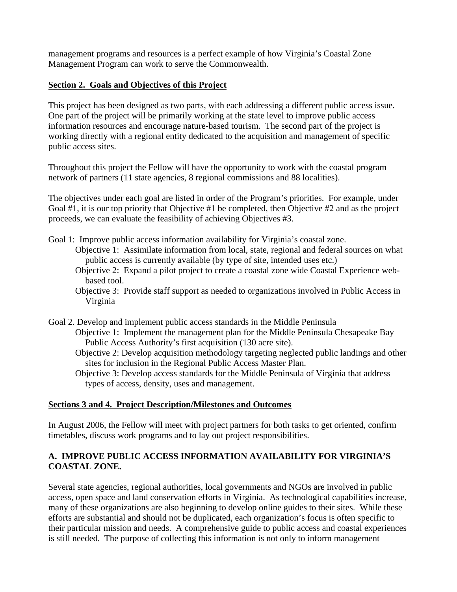management programs and resources is a perfect example of how Virginia's Coastal Zone Management Program can work to serve the Commonwealth.

# **Section 2. Goals and Objectives of this Project**

This project has been designed as two parts, with each addressing a different public access issue. One part of the project will be primarily working at the state level to improve public access information resources and encourage nature-based tourism. The second part of the project is working directly with a regional entity dedicated to the acquisition and management of specific public access sites.

Throughout this project the Fellow will have the opportunity to work with the coastal program network of partners (11 state agencies, 8 regional commissions and 88 localities).

The objectives under each goal are listed in order of the Program's priorities. For example, under Goal #1, it is our top priority that Objective #1 be completed, then Objective #2 and as the project proceeds, we can evaluate the feasibility of achieving Objectives #3.

- Goal 1: Improve public access information availability for Virginia's coastal zone.
	- Objective 1: Assimilate information from local, state, regional and federal sources on what public access is currently available (by type of site, intended uses etc.)
		- Objective 2: Expand a pilot project to create a coastal zone wide Coastal Experience webbased tool.
		- Objective 3: Provide staff support as needed to organizations involved in Public Access in Virginia
- Goal 2. Develop and implement public access standards in the Middle Peninsula
	- Objective 1: Implement the management plan for the Middle Peninsula Chesapeake Bay Public Access Authority's first acquisition (130 acre site).
	- Objective 2: Develop acquisition methodology targeting neglected public landings and other sites for inclusion in the Regional Public Access Master Plan.
	- Objective 3: Develop access standards for the Middle Peninsula of Virginia that address types of access, density, uses and management.

# **Sections 3 and 4. Project Description/Milestones and Outcomes**

In August 2006, the Fellow will meet with project partners for both tasks to get oriented, confirm timetables, discuss work programs and to lay out project responsibilities.

# **A. IMPROVE PUBLIC ACCESS INFORMATION AVAILABILITY FOR VIRGINIA'S COASTAL ZONE.**

Several state agencies, regional authorities, local governments and NGOs are involved in public access, open space and land conservation efforts in Virginia. As technological capabilities increase, many of these organizations are also beginning to develop online guides to their sites. While these efforts are substantial and should not be duplicated, each organization's focus is often specific to their particular mission and needs. A comprehensive guide to public access and coastal experiences is still needed. The purpose of collecting this information is not only to inform management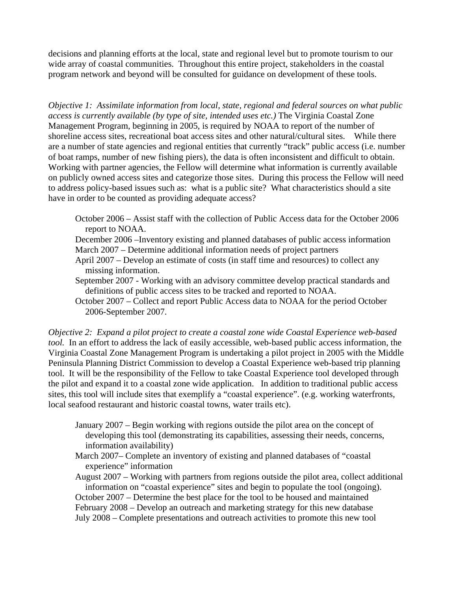decisions and planning efforts at the local, state and regional level but to promote tourism to our wide array of coastal communities. Throughout this entire project, stakeholders in the coastal program network and beyond will be consulted for guidance on development of these tools.

*Objective 1: Assimilate information from local, state, regional and federal sources on what public access is currently available (by type of site, intended uses etc.)* The Virginia Coastal Zone Management Program, beginning in 2005, is required by NOAA to report of the number of shoreline access sites, recreational boat access sites and other natural/cultural sites. While there are a number of state agencies and regional entities that currently "track" public access (i.e. number of boat ramps, number of new fishing piers), the data is often inconsistent and difficult to obtain. Working with partner agencies, the Fellow will determine what information is currently available on publicly owned access sites and categorize those sites. During this process the Fellow will need to address policy-based issues such as: what is a public site? What characteristics should a site have in order to be counted as providing adequate access?

October 2006 – Assist staff with the collection of Public Access data for the October 2006 report to NOAA.

December 2006 –Inventory existing and planned databases of public access information March 2007 – Determine additional information needs of project partners

- April 2007 Develop an estimate of costs (in staff time and resources) to collect any missing information.
- September 2007 Working with an advisory committee develop practical standards and definitions of public access sites to be tracked and reported to NOAA.
- October 2007 Collect and report Public Access data to NOAA for the period October 2006-September 2007.

*Objective 2: Expand a pilot project to create a coastal zone wide Coastal Experience web-based tool.* In an effort to address the lack of easily accessible, web-based public access information, the Virginia Coastal Zone Management Program is undertaking a pilot project in 2005 with the Middle Peninsula Planning District Commission to develop a Coastal Experience web-based trip planning tool. It will be the responsibility of the Fellow to take Coastal Experience tool developed through the pilot and expand it to a coastal zone wide application. In addition to traditional public access sites, this tool will include sites that exemplify a "coastal experience". (e.g. working waterfronts, local seafood restaurant and historic coastal towns, water trails etc).

- January 2007 Begin working with regions outside the pilot area on the concept of developing this tool (demonstrating its capabilities, assessing their needs, concerns, information availability)
- March 2007– Complete an inventory of existing and planned databases of "coastal experience" information

August 2007 – Working with partners from regions outside the pilot area, collect additional information on "coastal experience" sites and begin to populate the tool (ongoing). October 2007 – Determine the best place for the tool to be housed and maintained February 2008 – Develop an outreach and marketing strategy for this new database July 2008 – Complete presentations and outreach activities to promote this new tool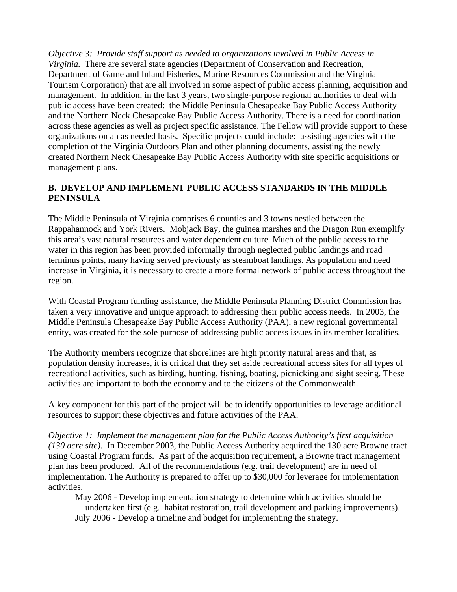*Objective 3: Provide staff support as needed to organizations involved in Public Access in Virginia.* There are several state agencies (Department of Conservation and Recreation, Department of Game and Inland Fisheries, Marine Resources Commission and the Virginia Tourism Corporation) that are all involved in some aspect of public access planning, acquisition and management. In addition, in the last 3 years, two single-purpose regional authorities to deal with public access have been created: the Middle Peninsula Chesapeake Bay Public Access Authority and the Northern Neck Chesapeake Bay Public Access Authority. There is a need for coordination across these agencies as well as project specific assistance. The Fellow will provide support to these organizations on an as needed basis. Specific projects could include: assisting agencies with the completion of the Virginia Outdoors Plan and other planning documents, assisting the newly created Northern Neck Chesapeake Bay Public Access Authority with site specific acquisitions or management plans.

# **B. DEVELOP AND IMPLEMENT PUBLIC ACCESS STANDARDS IN THE MIDDLE PENINSULA**

The Middle Peninsula of Virginia comprises 6 counties and 3 towns nestled between the Rappahannock and York Rivers. Mobjack Bay, the guinea marshes and the Dragon Run exemplify this area's vast natural resources and water dependent culture. Much of the public access to the water in this region has been provided informally through neglected public landings and road terminus points, many having served previously as steamboat landings. As population and need increase in Virginia, it is necessary to create a more formal network of public access throughout the region.

With Coastal Program funding assistance, the Middle Peninsula Planning District Commission has taken a very innovative and unique approach to addressing their public access needs. In 2003, the Middle Peninsula Chesapeake Bay Public Access Authority (PAA), a new regional governmental entity, was created for the sole purpose of addressing public access issues in its member localities.

The Authority members recognize that shorelines are high priority natural areas and that, as population density increases, it is critical that they set aside recreational access sites for all types of recreational activities, such as birding, hunting, fishing, boating, picnicking and sight seeing. These activities are important to both the economy and to the citizens of the Commonwealth.

A key component for this part of the project will be to identify opportunities to leverage additional resources to support these objectives and future activities of the PAA.

*Objective 1: Implement the management plan for the Public Access Authority's first acquisition (130 acre site).* In December 2003, the Public Access Authority acquired the 130 acre Browne tract using Coastal Program funds. As part of the acquisition requirement, a Browne tract management plan has been produced. All of the recommendations (e.g. trail development) are in need of implementation. The Authority is prepared to offer up to \$30,000 for leverage for implementation activities.

May 2006 - Develop implementation strategy to determine which activities should be undertaken first (e.g. habitat restoration, trail development and parking improvements). July 2006 - Develop a timeline and budget for implementing the strategy.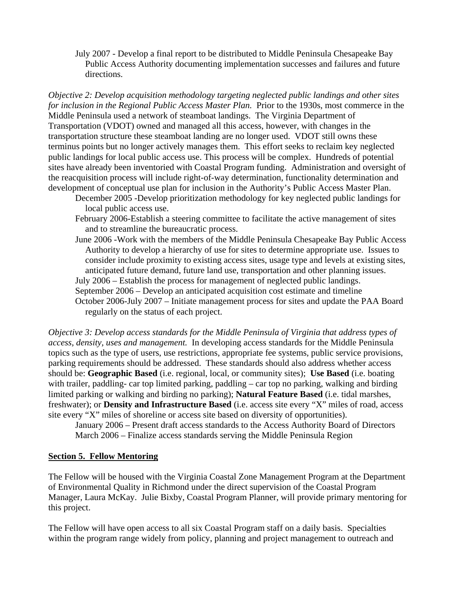July 2007 - Develop a final report to be distributed to Middle Peninsula Chesapeake Bay Public Access Authority documenting implementation successes and failures and future directions.

*Objective 2: Develop acquisition methodology targeting neglected public landings and other sites for inclusion in the Regional Public Access Master Plan.* Prior to the 1930s, most commerce in the Middle Peninsula used a network of steamboat landings. The Virginia Department of Transportation (VDOT) owned and managed all this access, however, with changes in the transportation structure these steamboat landing are no longer used. VDOT still owns these terminus points but no longer actively manages them. This effort seeks to reclaim key neglected public landings for local public access use. This process will be complex. Hundreds of potential sites have already been inventoried with Coastal Program funding. Administration and oversight of the reacquisition process will include right-of-way determination, functionality determination and development of conceptual use plan for inclusion in the Authority's Public Access Master Plan.

- December 2005 -Develop prioritization methodology for key neglected public landings for local public access use.
- February 2006-Establish a steering committee to facilitate the active management of sites and to streamline the bureaucratic process.
- June 2006 -Work with the members of the Middle Peninsula Chesapeake Bay Public Access Authority to develop a hierarchy of use for sites to determine appropriate use. Issues to consider include proximity to existing access sites, usage type and levels at existing sites, anticipated future demand, future land use, transportation and other planning issues. July 2006 – Establish the process for management of neglected public landings.

September 2006 – Develop an anticipated acquisition cost estimate and timeline

October 2006-July 2007 – Initiate management process for sites and update the PAA Board regularly on the status of each project.

*Objective 3: Develop access standards for the Middle Peninsula of Virginia that address types of access, density, uses and management.* In developing access standards for the Middle Peninsula topics such as the type of users, use restrictions, appropriate fee systems, public service provisions, parking requirements should be addressed. These standards should also address whether access should be: **Geographic Based** (i.e. regional, local, or community sites); **Use Based** (i.e. boating with trailer, paddling- car top limited parking, paddling – car top no parking, walking and birding limited parking or walking and birding no parking); **Natural Feature Based** (i.e. tidal marshes, freshwater); or **Density and Infrastructure Based** (i.e. access site every "X" miles of road, access site every "X" miles of shoreline or access site based on diversity of opportunities).

January 2006 – Present draft access standards to the Access Authority Board of Directors March 2006 – Finalize access standards serving the Middle Peninsula Region

# **Section 5. Fellow Mentoring**

The Fellow will be housed with the Virginia Coastal Zone Management Program at the Department of Environmental Quality in Richmond under the direct supervision of the Coastal Program Manager, Laura McKay. Julie Bixby, Coastal Program Planner, will provide primary mentoring for this project.

The Fellow will have open access to all six Coastal Program staff on a daily basis. Specialties within the program range widely from policy, planning and project management to outreach and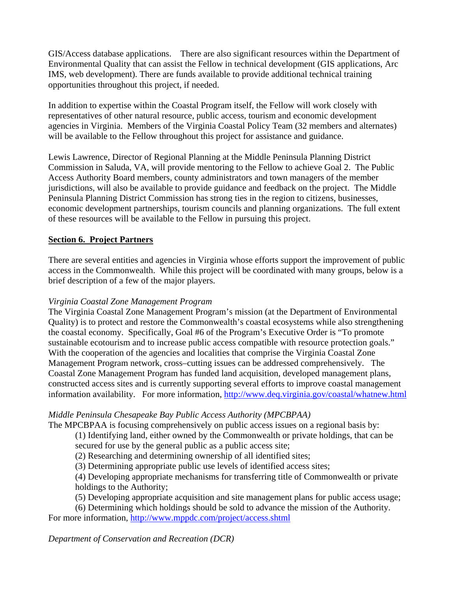GIS/Access database applications. There are also significant resources within the Department of Environmental Quality that can assist the Fellow in technical development (GIS applications, Arc IMS, web development). There are funds available to provide additional technical training opportunities throughout this project, if needed.

In addition to expertise within the Coastal Program itself, the Fellow will work closely with representatives of other natural resource, public access, tourism and economic development agencies in Virginia. Members of the Virginia Coastal Policy Team (32 members and alternates) will be available to the Fellow throughout this project for assistance and guidance.

Lewis Lawrence, Director of Regional Planning at the Middle Peninsula Planning District Commission in Saluda, VA, will provide mentoring to the Fellow to achieve Goal 2. The Public Access Authority Board members, county administrators and town managers of the member jurisdictions, will also be available to provide guidance and feedback on the project. The Middle Peninsula Planning District Commission has strong ties in the region to citizens, businesses, economic development partnerships, tourism councils and planning organizations. The full extent of these resources will be available to the Fellow in pursuing this project.

# **Section 6. Project Partners**

There are several entities and agencies in Virginia whose efforts support the improvement of public access in the Commonwealth. While this project will be coordinated with many groups, below is a brief description of a few of the major players.

# *Virginia Coastal Zone Management Program*

The Virginia Coastal Zone Management Program's mission (at the Department of Environmental Quality) is to protect and restore the Commonwealth's coastal ecosystems while also strengthening the coastal economy. Specifically, Goal #6 of the Program's Executive Order is "To promote sustainable ecotourism and to increase public access compatible with resource protection goals." With the cooperation of the agencies and localities that comprise the Virginia Coastal Zone Management Program network, cross–cutting issues can be addressed comprehensively. The Coastal Zone Management Program has funded land acquisition, developed management plans, constructed access sites and is currently supporting several efforts to improve coastal management information availability. For more information, http://www.deq.virginia.gov/coastal/whatnew.html

# *Middle Peninsula Chesapeake Bay Public Access Authority (MPCBPAA)*

The MPCBPAA is focusing comprehensively on public access issues on a regional basis by:

(1) Identifying land, either owned by the Commonwealth or private holdings, that can be secured for use by the general public as a public access site;

(2) Researching and determining ownership of all identified sites;

(3) Determining appropriate public use levels of identified access sites;

(4) Developing appropriate mechanisms for transferring title of Commonwealth or private holdings to the Authority;

(5) Developing appropriate acquisition and site management plans for public access usage;

(6) Determining which holdings should be sold to advance the mission of the Authority. For more information, http://www.mppdc.com/project/access.shtml

*Department of Conservation and Recreation (DCR)*